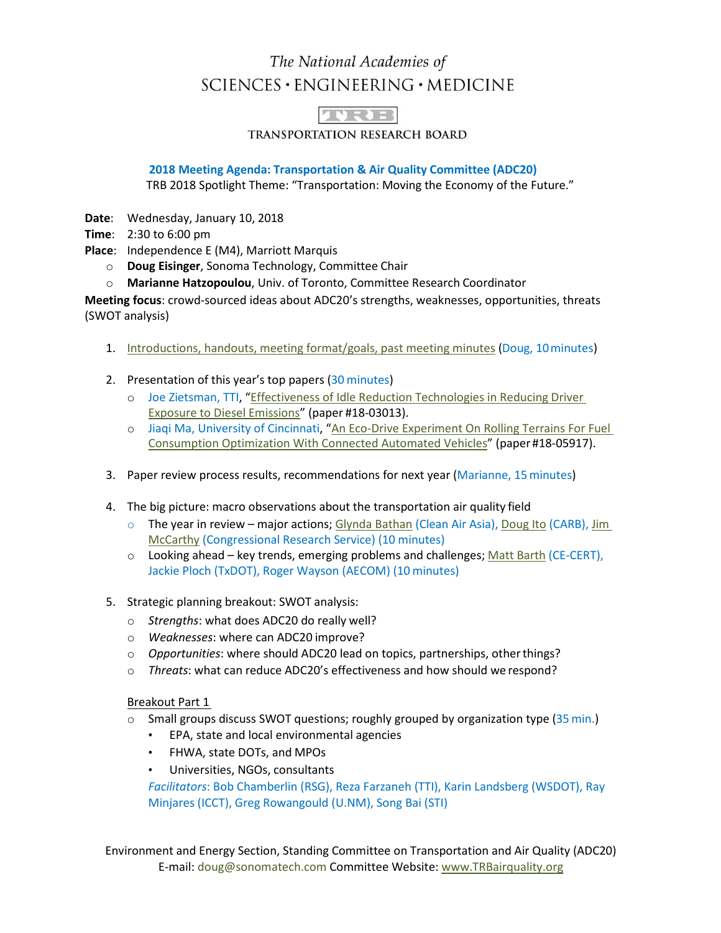## The National Academies of  $SCIENCES \cdot ENGINEERING \cdot MEDICINE$



**TRANSPORTATION RESEARCH BOARD** 

**2018 Meeting Agenda: Transportation & Air Quality Committee (ADC20)**

TRB 2018 Spotlight Theme: "Transportation: Moving the Economy of the Future."

**Date**: Wednesday, January 10, 2018

**Time**: 2:30 to 6:00 pm

**Place**: Independence E (M4), Marriott Marquis

- o **Doug Eisinger**, Sonoma Technology, Committee Chair
- o **Marianne Hatzopoulou**, Univ. of Toronto, Committee Research Coordinator

**Meeting focus**: crowd-sourced ideas about ADC20's strengths, weaknesses, opportunities, threats (SWOT analysis)

- 1. [Introductions, handouts, meeting format/goals, past meeting minutes](https://www.trbairquality.org/wp-content/uploads/2018/01/1-Eisinger-ADC20-Full-Comm-mtg-ppts-2018_Final-for-web.pdf) (Doug, 10 minutes)
- 2. Presentation of this year's top papers (30 minutes)
	- o Joe Zietsman, TTI, ["Effectiveness of Idle Reduction Technologies in Reducing Driver](https://www.trbairquality.org/wp-content/uploads/2018/01/3-JoeZ-Idle-Reduction-ADC20Meeting.pdf)  [Exposure to Diesel Emissions"](https://www.trbairquality.org/wp-content/uploads/2018/01/3-JoeZ-Idle-Reduction-ADC20Meeting.pdf) (paper #18-03013).
	- o Jiaqi Ma, University of Cincinnati, ["An Eco-Drive Experiment On Rolling Terrains For Fuel](https://www.trbairquality.org/wp-content/uploads/2018/01/2-Ma-EcoDrive_TRB2018_v2.pdf)  [Consumption Optimization With Connected Automated Vehicles"](https://www.trbairquality.org/wp-content/uploads/2018/01/2-Ma-EcoDrive_TRB2018_v2.pdf) (paper #18-05917).
- 3. Paper review process results, recommendations for next year (Marianne, 15minutes)
- 4. The big picture: macro observations about the transportation air quality field
	- o The year in review major actions; [Glynda Bathan](https://www.trbairquality.org/wp-content/uploads/2018/01/4c-CAA-TRB-Yr-in-Review-Asia-v1-widescreendse-FINAL.pdf) (Clean Air Asia), [Doug Ito](https://www.trbairquality.org/wp-content/uploads/2018/01/4b-ARB-Yr-in-Review-ppt-for-web.pdf) (CARB)[, Jim](https://www.trbairquality.org/wp-content/uploads/2018/01/4a-McCarthy-TRB-Yr-in-Review-v3.pdf)  [McCarthy](https://www.trbairquality.org/wp-content/uploads/2018/01/4a-McCarthy-TRB-Yr-in-Review-v3.pdf) (Congressional Research Service) (10 minutes)
	- $\circ$  Looking ahead key trends, emerging problems and challenges; [Matt Barth](https://www.trbairquality.org/wp-content/uploads/2018/01/5-Barth-TRB-AQ-future-presentation-v2-for-web.pdf) (CE-CERT), Jackie Ploch (TxDOT), Roger Wayson (AECOM) (10 minutes)
- 5. Strategic planning breakout: SWOT analysis:
	- o *Strengths*: what does ADC20 do really well?
	- o *Weaknesses*: where can ADC20 improve?
	- o *Opportunities*: where should ADC20 lead on topics, partnerships, otherthings?
	- o *Threats*: what can reduce ADC20's effectiveness and how should we respond?

## Breakout Part 1

- $\circ$  Small groups discuss SWOT questions; roughly grouped by organization type (35 min.)
	- EPA, state and local environmental agencies
	- FHWA, state DOTs, and MPOs
	- Universities, NGOs, consultants

*Facilitators*: Bob Chamberlin (RSG), Reza Farzaneh (TTI), Karin Landsberg (WSDOT), Ray Minjares (ICCT), Greg Rowangould (U.NM), Song Bai (STI)

Environment and Energy Section, Standing Committee on Transportation and Air Quality (ADC20) E-mail: [doug@sonomatech.com](mailto:doug@sonomatech.com) Committee Website: [www.TRBairquality.org](http://www.trbairquality.org/)